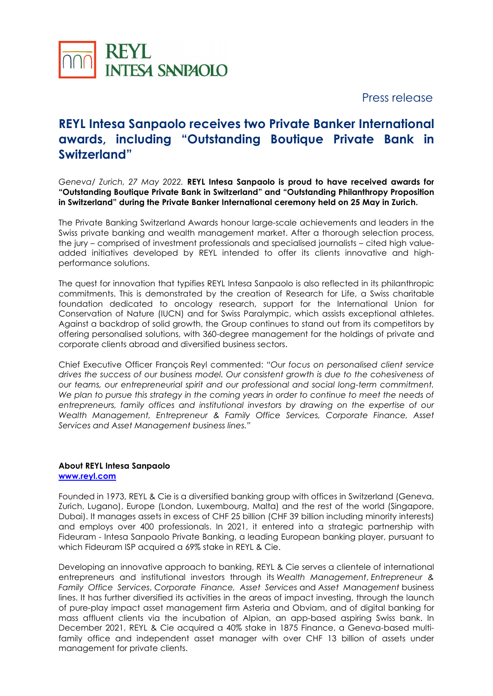

Press release

## **REYL Intesa Sanpaolo receives two Private Banker International awards, including "Outstanding Boutique Private Bank in Switzerland"**

*Geneva/ Zurich, 27 May 2022.* **REYL Intesa Sanpaolo is proud to have received awards for "Outstanding Boutique Private Bank in Switzerland" and "Outstanding Philanthropy Proposition in Switzerland" during the Private Banker International ceremony held on 25 May in Zurich.**

The Private Banking Switzerland Awards honour large-scale achievements and leaders in the Swiss private banking and wealth management market. After a thorough selection process, the jury – comprised of investment professionals and specialised journalists – cited high valueadded initiatives developed by REYL intended to offer its clients innovative and highperformance solutions.

The quest for innovation that typifies REYL Intesa Sanpaolo is also reflected in its philanthropic commitments. This is demonstrated by the creation of Research for Life, a Swiss charitable foundation dedicated to oncology research, support for the International Union for Conservation of Nature (IUCN) and for Swiss Paralympic, which assists exceptional athletes. Against a backdrop of solid growth, the Group continues to stand out from its competitors by offering personalised solutions, with 360-degree management for the holdings of private and corporate clients abroad and diversified business sectors.

Chief Executive Officer François Reyl commented: *"Our focus on personalised client service drives the success of our business model. Our consistent growth is due to the cohesiveness of our teams, our entrepreneurial spirit and our professional and social long-term commitment. We plan to pursue this strategy in the coming years in order to continue to meet the needs of entrepreneurs, family offices and institutional investors by drawing on the expertise of our Wealth Management, Entrepreneur & Family Office Services, Corporate Finance, Asset Services and Asset Management business lines."*

## **About REYL Intesa Sanpaolo [www.reyl.com](http://www.reyl.com/)**

Founded in 1973, REYL & Cie is a diversified banking group with offices in Switzerland (Geneva, Zurich, Lugano), Europe (London, Luxembourg, Malta) and the rest of the world (Singapore, Dubai). It manages assets in excess of CHF 25 billion (CHF 39 billion including minority interests) and employs over 400 professionals. In 2021, it entered into a strategic partnership with Fideuram - Intesa Sanpaolo Private Banking, a leading European banking player, pursuant to which Fideuram ISP acquired a 69% stake in REYL & Cie.

Developing an innovative approach to banking, REYL & Cie serves a clientele of international entrepreneurs and institutional investors through its *Wealth Management*, *Entrepreneur & Family Office Services*, *Corporate Finance, Asset Services* and *Asset Management* business lines. It has further diversified its activities in the areas of impact investing, through the launch of pure-play impact asset management firm Asteria and Obviam, and of digital banking for mass affluent clients via the incubation of Alpian, an app-based aspiring Swiss bank. In December 2021, REYL & Cie acquired a 40% stake in 1875 Finance, a Geneva-based multifamily office and independent asset manager with over CHF 13 billion of assets under management for private clients.